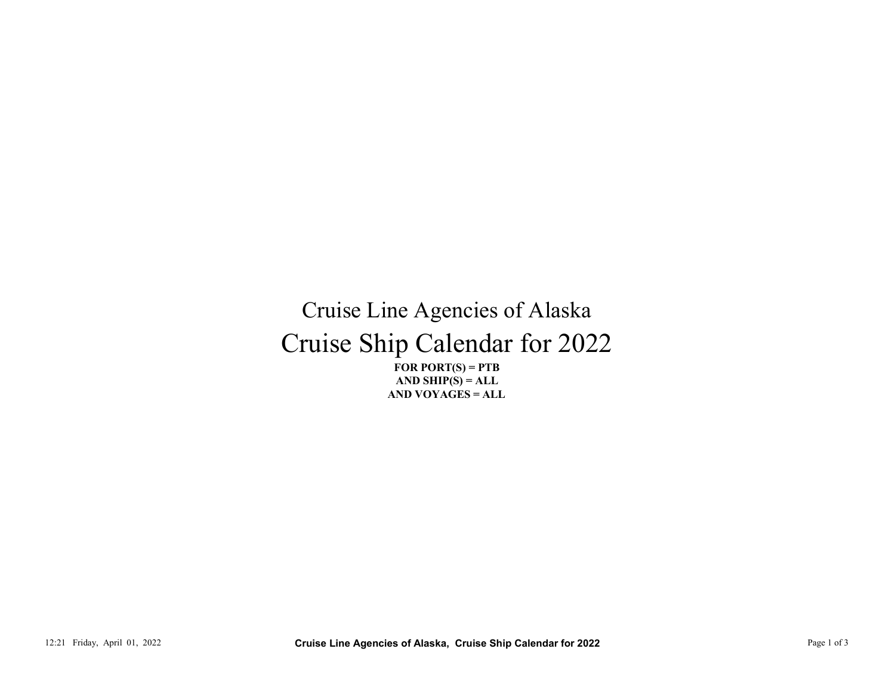## Cruise Ship Calendar for 2022 Cruise Line Agencies of Alaska 12:21 Friday, April 01, 2022<br>
12:21 Friday, April 01, 2022<br>
Page 1 of 3 Cruise Line Agencies of Alaska, Cruise Ship Calendar for 2022<br>
Page 1 of 3<br>
Page 1 of 3<br>
Page 1 of 3<br>
Page 1 of 3<br>
Page 1 of 3

FOR PORT $(S)$  = PTB AND VOYAGES = ALL AND SHIP $(S) = ALL$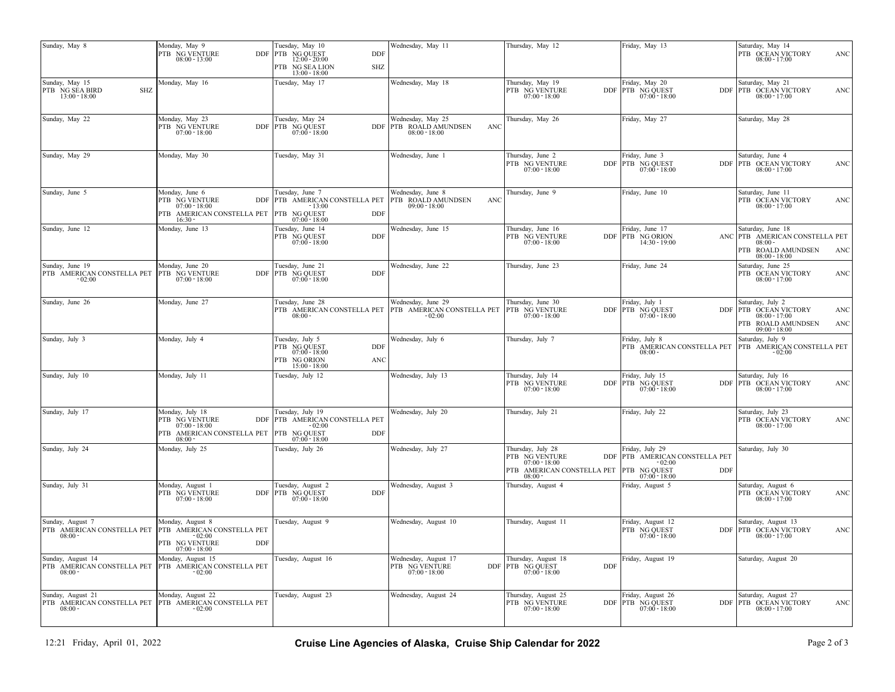| Thursday, May 19<br>Monday, May 16<br>Tuesday, May 17<br>Wednesday, May 18<br>Friday, May 20<br>Saturday, May 21<br>SHZ<br>PTB NG VENTURE<br>DDF PTB NG QUEST<br>DDF   PTB OCEAN VICTORY<br>ANC<br>$13:00 - 18:00$<br>$07:00 - 18:00$<br>$07:00 - 18:00$<br>$08:00 - 17:00$<br>Monday, May 23<br>Tuesday, May 24<br>Wednesday, May 25<br>Thursday, May 26<br>Friday, May 27<br>Saturday, May 28<br>PTB NG VENTURE<br>DDF PTB NG QUEST<br>DDF PTB ROALD AMUNDSEN<br>ANC<br>$08:00 - 18:00$<br>$07:00 - 18:00$<br>$07:00 - 18:00$<br>Monday, May 30<br>Tuesday, May 31<br>Wednesday, June 1<br>Thursday, June 2<br>Friday, June 3<br>Saturday, June 4<br>PTB NG VENTURE<br>DDF PTB NG QUEST<br>DDF PTB OCEAN VICTORY<br>ANC<br>$07:00 - 18:00$<br>$07:00 - 18:00$<br>$08:00 - 17:00$<br>Monday, June 6<br>Tuesday, June 7<br>Wednesday, June 8<br>Sunday, June 5<br>Thursday, June 9<br>Friday, June 10<br>Saturday, June 11<br>PTB NG VENTURE<br>DDF PTB AMERICAN CONSTELLA PET<br>PTB ROALD AMUNDSEN<br>ANC<br>PTB OCEAN VICTORY<br><b>ANC</b><br>$07:00 - 18:00$<br>$-13:00$<br>$09:00 - 18:00$<br>$08:00 - 17:00$<br>PTB AMERICAN CONSTELLA PET<br>NG QUEST<br>DDF<br><b>PTB</b><br>$16:30 -$<br>$07:00 - 18:00$<br>Friday, June 17<br>Saturday, June 18<br>Monday, June 13<br>Tuesday, June 14<br>Wednesday, June 15<br>Thursday, June 16<br>PTB NG VENTURE<br>DDF PTB NG ORION<br>PTB NG QUEST<br>DDF<br>ANC PTB AMERICAN CONSTELLA PET<br>$07:00 - 18:00$<br>$07:00 - 18:00$<br>$14:30 - 19:00$<br>$08:00 -$<br>PTB ROALD AMUNDSEN<br>ANC<br>$08:00 - 18:00$<br>Friday, June 24<br>Tuesday, June 21<br>Wednesday, June 22<br>Thursday, June 23<br>Monday, June 20<br>Saturday, June 25<br>DDF PTB NG QUEST<br><b>DDF</b><br>PTB OCEAN VICTORY<br>ANC<br>$07:00 - 18:00$<br>$07:00 - 18:00$<br>$08:00 - 17:00$<br>$-02:00$<br>Wednesday, June 29<br>Friday, July 1<br>Monday, June 27<br>Tuesday, June 28<br>Thursday, June 30<br>Saturday, July 2<br>PTB AMERICAN CONSTELLA PET PTB AMERICAN CONSTELLA PET PTB NG VENTURE $08.00$ - 18:00 $07.00$ - 18:00<br>DDF PTB NG QUEST<br>DDF PTB OCEAN VICTORY<br>ANC<br>$07:00 - 18:00$<br>$08:00 - 17:00$<br>PTB ROALD AMUNDSEN<br>ANC<br>$09:00 - 18:00$<br>Saturday, July 9<br>Sunday, July 3<br>Monday, July 4<br>Tuesday, July 5<br>Wednesday, July 6<br>Thursday, July 7<br>Friday, July 8<br>PTB NG QUEST<br>PTB AMERICAN CONSTELLA PET<br>DDF<br>PTB AMERICAN CONSTELLA PET<br>$07:00 - 18:00$<br>$08:00 -$<br>$-02:00$<br>PTB NG ORION<br>ANC<br>$15:00 - 18:00$<br>Monday, July 11<br>Thursday, July 14<br>Friday, July 15<br>Saturday, July 16<br>Tuesday, July 12<br>Wednesday, July 13<br>PTB NG VENTURE<br>DDF PTB NG QUEST<br>DDF PTB OCEAN VICTORY<br><b>ANC</b><br>$07:00 - 18:00$<br>$07:00 - 18:00$<br>$08:00 - 17:00$<br>Monday, July 18<br>Tuesday, July 19<br>Wednesday, July 20<br>Friday, July 22<br>Saturday, July 23<br>Thursday, July 21<br>PTB NG VENTURE<br>PTB OCEAN VICTORY<br>DDF PTB AMERICAN CONSTELLA PET<br>ANC<br>$07:00 - 18:00$<br>$-02:00$<br>$08:00 - 17:00$<br>DDF<br>PTB AMERICAN CONSTELLA PET PTB NG QUEST<br>$08:00 -$<br>$07:00 - 18:00$<br>Monday, July 25<br>Thursday, July 28<br>riday, July 29<br>Tuesday, July 26<br>Wednesday, July 27<br>Saturday, July 30<br>PTB NG VENTURE<br>DDF PTB AMERICAN CONSTELLA PET<br>$07:00 - 18:00$<br>$-02:00$<br>DDF<br>PTB AMERICAN CONSTELLA PET PTB NG QUEST<br>$08:00 -$<br>$07:00 - 18:00$<br>Monday, August 1<br>Tuesday, August 2<br>Thursday, August 4<br>Friday, August 5<br>Saturday, August 6<br>Wednesday, August 3<br>PTB NG VENTURE<br>DDF PTB NG QUEST<br>DDF<br>PTB OCEAN VICTORY<br><b>ANC</b><br>$07:00 - 18:00$<br>$07:00 - 18:00$<br>$08:00 - 17:00$<br>Monday, August 8<br>Wednesday, August 10<br>Thursday, August 11<br>Friday, August 12<br>Saturday, August 13<br>Tuesday, August 9<br>PTB NG QUEST<br>DDF PTB OCEAN VICTORY<br><b>PTB AMERICAN CONSTELLA PET</b><br><b>ANC</b><br>$07:00 - 18:00$<br>$08:00 -$<br>$-02:00$<br>$08:00 - 17:00$<br>PTB NG VENTURE<br>DDF<br>$07:00 - 18:00$<br>Monday, August 15<br>Tuesday, August 16<br>Wednesday, August 17<br>Thursday, August 18<br>Friday, August 19<br>Saturday, August 20<br>PTB AMERICAN CONSTELLA PET<br>PTB NG VENTURE<br>PTB NG QUEST<br>DDF<br>DDF<br>$07:00 - 18:00$<br>$07:00 - 18:00$<br>$08:00 -$<br>$-02:00$<br>Monday, August 22<br>Tuesday, August 23<br>Wednesday, August 24<br>Friday, August 26<br>Saturday, August 27<br>Thursday, August 25<br>PTB NG VENTURE<br>DDF PTB NG QUEST<br>07:00 - 18:00<br>$\label{eq:bb} \begin{tabular}{c c} \text{DDF} & \text{PTB} & \text{OCEAN VICTORY} \\ \hline 08:00-17:00 \end{tabular}$<br>ANC | Sunday, May 8                     | Monday, May 9<br>PTB NG VENTURE<br>$08:00 - 13:00$ | Tuesday, May 10<br>DDF PTB NG QUEST<br>DDF<br>$12:00 - 20:00$<br><b>SHZ</b><br>PTB NG SEA LION<br>$13:00 - 18:00$ | Wednesday, May 11 | Thursday, May 12 | Friday, May 13 | Saturday, May 14<br>PTB OCEAN VICTORY<br>ANC<br>$08:00 - 17:00$ |
|---------------------------------------------------------------------------------------------------------------------------------------------------------------------------------------------------------------------------------------------------------------------------------------------------------------------------------------------------------------------------------------------------------------------------------------------------------------------------------------------------------------------------------------------------------------------------------------------------------------------------------------------------------------------------------------------------------------------------------------------------------------------------------------------------------------------------------------------------------------------------------------------------------------------------------------------------------------------------------------------------------------------------------------------------------------------------------------------------------------------------------------------------------------------------------------------------------------------------------------------------------------------------------------------------------------------------------------------------------------------------------------------------------------------------------------------------------------------------------------------------------------------------------------------------------------------------------------------------------------------------------------------------------------------------------------------------------------------------------------------------------------------------------------------------------------------------------------------------------------------------------------------------------------------------------------------------------------------------------------------------------------------------------------------------------------------------------------------------------------------------------------------------------------------------------------------------------------------------------------------------------------------------------------------------------------------------------------------------------------------------------------------------------------------------------------------------------------------------------------------------------------------------------------------------------------------------------------------------------------------------------------------------------------------------------------------------------------------------------------------------------------------------------------------------------------------------------------------------------------------------------------------------------------------------------------------------------------------------------------------------------------------------------------------------------------------------------------------------------------------------------------------------------------------------------------------------------------------------------------------------------------------------------------------------------------------------------------------------------------------------------------------------------------------------------------------------------------------------------------------------------------------------------------------------------------------------------------------------------------------------------------------------------------------------------------------------------------------------------------------------------------------------------------------------------------------------------------------------------------------------------------------------------------------------------------------------------------------------------------------------------------------------------------------------------------------------------------------------------------------------------------------------------------------------------------------------------------------------------------------------------------------------------------------------------------------------------------------------------------------------------------------------------------------------------------------------------------------------------------------------------------------------------------------------------------------------------------------------------------------------------------------------------------------------|-----------------------------------|----------------------------------------------------|-------------------------------------------------------------------------------------------------------------------|-------------------|------------------|----------------|-----------------------------------------------------------------|
| Sunday, May 22<br>Sunday, May 29<br>Sunday, June 12<br>Sunday, June 19<br>PTB AMERICAN CONSTELLA PET PTB NG VENTURE<br>Sunday, June 26<br>Sunday, July 10<br>Sunday, July 17<br>Sunday, July 24<br>Sunday, July 31<br>Sunday, August 7<br>PTB AMERICAN CONSTELLA PET<br>Sunday, August 14<br>PTB AMERICAN CONSTELLA PET<br>Sunday, August 21<br>PTB AMERICAN CONSTELLA PET PTB AMERICAN CONSTELLA PET                                                                                                                                                                                                                                                                                                                                                                                                                                                                                                                                                                                                                                                                                                                                                                                                                                                                                                                                                                                                                                                                                                                                                                                                                                                                                                                                                                                                                                                                                                                                                                                                                                                                                                                                                                                                                                                                                                                                                                                                                                                                                                                                                                                                                                                                                                                                                                                                                                                                                                                                                                                                                                                                                                                                                                                                                                                                                                                                                                                                                                                                                                                                                                                                                                                                                                                                                                                                                                                                                                                                                                                                                                                                                                                                                                                                                                                                                                                                                                                                                                                                                                                                                                                                                                                                     | Sunday, May 15<br>PTB NG SEA BIRD |                                                    |                                                                                                                   |                   |                  |                |                                                                 |
|                                                                                                                                                                                                                                                                                                                                                                                                                                                                                                                                                                                                                                                                                                                                                                                                                                                                                                                                                                                                                                                                                                                                                                                                                                                                                                                                                                                                                                                                                                                                                                                                                                                                                                                                                                                                                                                                                                                                                                                                                                                                                                                                                                                                                                                                                                                                                                                                                                                                                                                                                                                                                                                                                                                                                                                                                                                                                                                                                                                                                                                                                                                                                                                                                                                                                                                                                                                                                                                                                                                                                                                                                                                                                                                                                                                                                                                                                                                                                                                                                                                                                                                                                                                                                                                                                                                                                                                                                                                                                                                                                                                                                                                                           |                                   |                                                    |                                                                                                                   |                   |                  |                |                                                                 |
|                                                                                                                                                                                                                                                                                                                                                                                                                                                                                                                                                                                                                                                                                                                                                                                                                                                                                                                                                                                                                                                                                                                                                                                                                                                                                                                                                                                                                                                                                                                                                                                                                                                                                                                                                                                                                                                                                                                                                                                                                                                                                                                                                                                                                                                                                                                                                                                                                                                                                                                                                                                                                                                                                                                                                                                                                                                                                                                                                                                                                                                                                                                                                                                                                                                                                                                                                                                                                                                                                                                                                                                                                                                                                                                                                                                                                                                                                                                                                                                                                                                                                                                                                                                                                                                                                                                                                                                                                                                                                                                                                                                                                                                                           |                                   |                                                    |                                                                                                                   |                   |                  |                |                                                                 |
|                                                                                                                                                                                                                                                                                                                                                                                                                                                                                                                                                                                                                                                                                                                                                                                                                                                                                                                                                                                                                                                                                                                                                                                                                                                                                                                                                                                                                                                                                                                                                                                                                                                                                                                                                                                                                                                                                                                                                                                                                                                                                                                                                                                                                                                                                                                                                                                                                                                                                                                                                                                                                                                                                                                                                                                                                                                                                                                                                                                                                                                                                                                                                                                                                                                                                                                                                                                                                                                                                                                                                                                                                                                                                                                                                                                                                                                                                                                                                                                                                                                                                                                                                                                                                                                                                                                                                                                                                                                                                                                                                                                                                                                                           |                                   |                                                    |                                                                                                                   |                   |                  |                |                                                                 |
|                                                                                                                                                                                                                                                                                                                                                                                                                                                                                                                                                                                                                                                                                                                                                                                                                                                                                                                                                                                                                                                                                                                                                                                                                                                                                                                                                                                                                                                                                                                                                                                                                                                                                                                                                                                                                                                                                                                                                                                                                                                                                                                                                                                                                                                                                                                                                                                                                                                                                                                                                                                                                                                                                                                                                                                                                                                                                                                                                                                                                                                                                                                                                                                                                                                                                                                                                                                                                                                                                                                                                                                                                                                                                                                                                                                                                                                                                                                                                                                                                                                                                                                                                                                                                                                                                                                                                                                                                                                                                                                                                                                                                                                                           |                                   |                                                    |                                                                                                                   |                   |                  |                |                                                                 |
|                                                                                                                                                                                                                                                                                                                                                                                                                                                                                                                                                                                                                                                                                                                                                                                                                                                                                                                                                                                                                                                                                                                                                                                                                                                                                                                                                                                                                                                                                                                                                                                                                                                                                                                                                                                                                                                                                                                                                                                                                                                                                                                                                                                                                                                                                                                                                                                                                                                                                                                                                                                                                                                                                                                                                                                                                                                                                                                                                                                                                                                                                                                                                                                                                                                                                                                                                                                                                                                                                                                                                                                                                                                                                                                                                                                                                                                                                                                                                                                                                                                                                                                                                                                                                                                                                                                                                                                                                                                                                                                                                                                                                                                                           |                                   |                                                    |                                                                                                                   |                   |                  |                |                                                                 |
|                                                                                                                                                                                                                                                                                                                                                                                                                                                                                                                                                                                                                                                                                                                                                                                                                                                                                                                                                                                                                                                                                                                                                                                                                                                                                                                                                                                                                                                                                                                                                                                                                                                                                                                                                                                                                                                                                                                                                                                                                                                                                                                                                                                                                                                                                                                                                                                                                                                                                                                                                                                                                                                                                                                                                                                                                                                                                                                                                                                                                                                                                                                                                                                                                                                                                                                                                                                                                                                                                                                                                                                                                                                                                                                                                                                                                                                                                                                                                                                                                                                                                                                                                                                                                                                                                                                                                                                                                                                                                                                                                                                                                                                                           |                                   |                                                    |                                                                                                                   |                   |                  |                |                                                                 |
|                                                                                                                                                                                                                                                                                                                                                                                                                                                                                                                                                                                                                                                                                                                                                                                                                                                                                                                                                                                                                                                                                                                                                                                                                                                                                                                                                                                                                                                                                                                                                                                                                                                                                                                                                                                                                                                                                                                                                                                                                                                                                                                                                                                                                                                                                                                                                                                                                                                                                                                                                                                                                                                                                                                                                                                                                                                                                                                                                                                                                                                                                                                                                                                                                                                                                                                                                                                                                                                                                                                                                                                                                                                                                                                                                                                                                                                                                                                                                                                                                                                                                                                                                                                                                                                                                                                                                                                                                                                                                                                                                                                                                                                                           |                                   |                                                    |                                                                                                                   |                   |                  |                |                                                                 |
|                                                                                                                                                                                                                                                                                                                                                                                                                                                                                                                                                                                                                                                                                                                                                                                                                                                                                                                                                                                                                                                                                                                                                                                                                                                                                                                                                                                                                                                                                                                                                                                                                                                                                                                                                                                                                                                                                                                                                                                                                                                                                                                                                                                                                                                                                                                                                                                                                                                                                                                                                                                                                                                                                                                                                                                                                                                                                                                                                                                                                                                                                                                                                                                                                                                                                                                                                                                                                                                                                                                                                                                                                                                                                                                                                                                                                                                                                                                                                                                                                                                                                                                                                                                                                                                                                                                                                                                                                                                                                                                                                                                                                                                                           |                                   |                                                    |                                                                                                                   |                   |                  |                |                                                                 |
|                                                                                                                                                                                                                                                                                                                                                                                                                                                                                                                                                                                                                                                                                                                                                                                                                                                                                                                                                                                                                                                                                                                                                                                                                                                                                                                                                                                                                                                                                                                                                                                                                                                                                                                                                                                                                                                                                                                                                                                                                                                                                                                                                                                                                                                                                                                                                                                                                                                                                                                                                                                                                                                                                                                                                                                                                                                                                                                                                                                                                                                                                                                                                                                                                                                                                                                                                                                                                                                                                                                                                                                                                                                                                                                                                                                                                                                                                                                                                                                                                                                                                                                                                                                                                                                                                                                                                                                                                                                                                                                                                                                                                                                                           |                                   |                                                    |                                                                                                                   |                   |                  |                |                                                                 |
|                                                                                                                                                                                                                                                                                                                                                                                                                                                                                                                                                                                                                                                                                                                                                                                                                                                                                                                                                                                                                                                                                                                                                                                                                                                                                                                                                                                                                                                                                                                                                                                                                                                                                                                                                                                                                                                                                                                                                                                                                                                                                                                                                                                                                                                                                                                                                                                                                                                                                                                                                                                                                                                                                                                                                                                                                                                                                                                                                                                                                                                                                                                                                                                                                                                                                                                                                                                                                                                                                                                                                                                                                                                                                                                                                                                                                                                                                                                                                                                                                                                                                                                                                                                                                                                                                                                                                                                                                                                                                                                                                                                                                                                                           |                                   |                                                    |                                                                                                                   |                   |                  |                |                                                                 |
|                                                                                                                                                                                                                                                                                                                                                                                                                                                                                                                                                                                                                                                                                                                                                                                                                                                                                                                                                                                                                                                                                                                                                                                                                                                                                                                                                                                                                                                                                                                                                                                                                                                                                                                                                                                                                                                                                                                                                                                                                                                                                                                                                                                                                                                                                                                                                                                                                                                                                                                                                                                                                                                                                                                                                                                                                                                                                                                                                                                                                                                                                                                                                                                                                                                                                                                                                                                                                                                                                                                                                                                                                                                                                                                                                                                                                                                                                                                                                                                                                                                                                                                                                                                                                                                                                                                                                                                                                                                                                                                                                                                                                                                                           |                                   |                                                    |                                                                                                                   |                   |                  |                |                                                                 |
|                                                                                                                                                                                                                                                                                                                                                                                                                                                                                                                                                                                                                                                                                                                                                                                                                                                                                                                                                                                                                                                                                                                                                                                                                                                                                                                                                                                                                                                                                                                                                                                                                                                                                                                                                                                                                                                                                                                                                                                                                                                                                                                                                                                                                                                                                                                                                                                                                                                                                                                                                                                                                                                                                                                                                                                                                                                                                                                                                                                                                                                                                                                                                                                                                                                                                                                                                                                                                                                                                                                                                                                                                                                                                                                                                                                                                                                                                                                                                                                                                                                                                                                                                                                                                                                                                                                                                                                                                                                                                                                                                                                                                                                                           |                                   |                                                    |                                                                                                                   |                   |                  |                |                                                                 |
|                                                                                                                                                                                                                                                                                                                                                                                                                                                                                                                                                                                                                                                                                                                                                                                                                                                                                                                                                                                                                                                                                                                                                                                                                                                                                                                                                                                                                                                                                                                                                                                                                                                                                                                                                                                                                                                                                                                                                                                                                                                                                                                                                                                                                                                                                                                                                                                                                                                                                                                                                                                                                                                                                                                                                                                                                                                                                                                                                                                                                                                                                                                                                                                                                                                                                                                                                                                                                                                                                                                                                                                                                                                                                                                                                                                                                                                                                                                                                                                                                                                                                                                                                                                                                                                                                                                                                                                                                                                                                                                                                                                                                                                                           |                                   |                                                    |                                                                                                                   |                   |                  |                |                                                                 |
|                                                                                                                                                                                                                                                                                                                                                                                                                                                                                                                                                                                                                                                                                                                                                                                                                                                                                                                                                                                                                                                                                                                                                                                                                                                                                                                                                                                                                                                                                                                                                                                                                                                                                                                                                                                                                                                                                                                                                                                                                                                                                                                                                                                                                                                                                                                                                                                                                                                                                                                                                                                                                                                                                                                                                                                                                                                                                                                                                                                                                                                                                                                                                                                                                                                                                                                                                                                                                                                                                                                                                                                                                                                                                                                                                                                                                                                                                                                                                                                                                                                                                                                                                                                                                                                                                                                                                                                                                                                                                                                                                                                                                                                                           | $08:00 -$                         | $-02:00$                                           |                                                                                                                   |                   | $07:00 - 18:00$  |                |                                                                 |